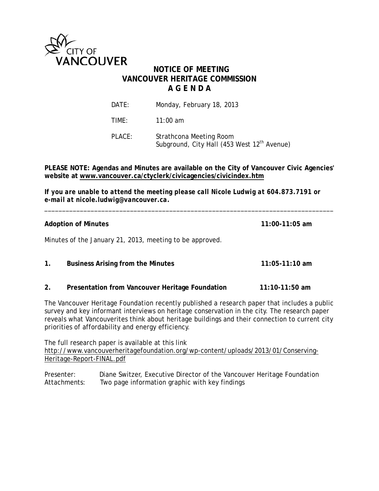

# **NOTICE OF MEETING VANCOUVER HERITAGE COMMISSION A G E N D A**

| DATE:  | Monday, February 18, 2013                                                          |
|--------|------------------------------------------------------------------------------------|
| TIME:  | 11:00 am                                                                           |
| PLACE: | Strathcona Meeting Room<br>Subground, City Hall (453 West 12 <sup>th</sup> Avenue) |

## **PLEASE NOTE: Agendas and Minutes are available on the City of Vancouver Civic Agencies' website at www.vancouver.ca/ctyclerk/civicagencies/civicindex.htm**

*If you are unable to attend the meeting please call Nicole Ludwig at 604.873.7191 or e-mail at nicole.ludwig@vancouver.ca.*

\_\_\_\_\_\_\_\_\_\_\_\_\_\_\_\_\_\_\_\_\_\_\_\_\_\_\_\_\_\_\_\_\_\_\_\_\_\_\_\_\_\_\_\_\_\_\_\_\_\_\_\_\_\_\_\_\_\_\_\_\_\_\_\_\_\_\_\_\_\_\_\_\_\_\_\_\_\_\_\_\_

| <b>Adoption of Minutes</b> |                                                          | $11:00-11:05$ am |
|----------------------------|----------------------------------------------------------|------------------|
|                            | Minutes of the January 21, 2013, meeting to be approved. |                  |
| $\mathbf{1}$ .             | <b>Business Arising from the Minutes</b>                 | 11:05-11:10 am   |

**2. Presentation from Vancouver Heritage Foundation 11:10-11:50 am**

The Vancouver Heritage Foundation recently published a research paper that includes a public survey and key informant interviews on heritage conservation in the city. The research paper reveals what Vancouverites think about heritage buildings and their connection to current city priorities of affordability and energy efficiency.

The full research paper is available at this link [http://www.vancouverheritagefoundation.org/wp-content/uploads/2013/01/Conserving-](http://www.vancouverheritagefoundation.org/wp-content/uploads/2013/01/Conserving-Heritage-Report-FINAL.pdf)[Heritage-Report-FINAL.pdf](http://www.vancouverheritagefoundation.org/wp-content/uploads/2013/01/Conserving-Heritage-Report-FINAL.pdf)

Presenter: Diane Switzer, Executive Director of the Vancouver Heritage Foundation Attachments: Two page information graphic with key findings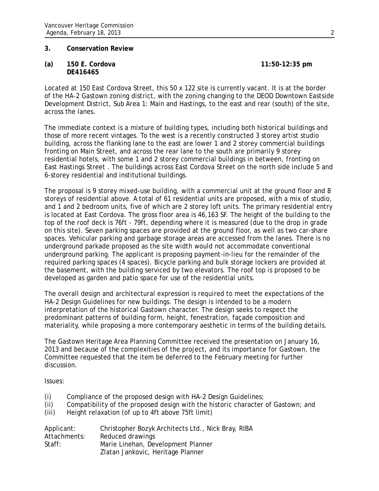### **3. Conservation Review**

**(a) 150 E. Cordova 11:50-12:35 pm DE416465**

Located at 150 East Cordova Street, this 50 x 122 site is currently vacant. It is at the border of the HA-2 Gastown zoning district, with the zoning changing to the DEOD Downtown Eastside Development District, Sub Area 1: Main and Hastings, to the east and rear (south) of the site, across the lanes.

The immediate context is a mixture of building types, including both historical buildings and those of more recent vintages. To the west is a recently constructed 3 storey artist studio building, across the flanking lane to the east are lower 1 and 2 storey commercial buildings fronting on Main Street, and across the rear lane to the south are primarily 9 storey residential hotels, with some 1 and 2 storey commercial buildings in between, fronting on East Hastings Street . The buildings across East Cordova Street on the north side include 5 and 6-storey residential and institutional buildings.

The proposal is 9 storey mixed-use building, with a commercial unit at the ground floor and 8 storeys of residential above. A total of 61 residential units are proposed, with a mix of studio, and 1 and 2 bedroom units, five of which are 2 storey loft units. The primary residential entry is located at East Cordova. The gross floor area is 46,163 SF. The height of the building to the top of the roof deck is 76ft - 79ft, depending where it is measured (due to the drop in grade on this site). Seven parking spaces are provided at the ground floor, as well as two car-share spaces. Vehicular parking and garbage storage areas are accessed from the lanes. There is no underground parkade proposed as the site width would not accommodate conventional underground parking. The applicant is proposing payment-in-lieu for the remainder of the required parking spaces (4 spaces). Bicycle parking and bulk storage lockers are provided at the basement, with the building serviced by two elevators. The roof top is proposed to be developed as garden and patio space for use of the residential units.

The overall design and architectural expression is required to meet the expectations of the HA-2 Design Guidelines for new buildings. The design is intended to be a modern interpretation of the historical Gastown character. The design seeks to respect the predominant patterns of building form, height, fenestration, façade composition and materiality, while proposing a more contemporary aesthetic in terms of the building details.

The Gastown Heritage Area Planning Committee received the presentation on January 16, 2013 and because of the complexities of the project, and its importance for Gastown, the Committee requested that the item be deferred to the February meeting for further discussion.

Issues:

- (i) Compliance of the proposed design with HA-2 Design Guidelines;
- (ii) Compatibility of the proposed design with the historic character of Gastown; and
- (iii) Height relaxation (of up to 4ft above 75ft limit)

| Applicant:   | Christopher Bozyk Architects Ltd., Nick Bray, RIBA |
|--------------|----------------------------------------------------|
| Attachments: | Reduced drawings                                   |
| Staff:       | Marie Linehan, Development Planner                 |
|              | Zlatan Jankovic, Heritage Planner                  |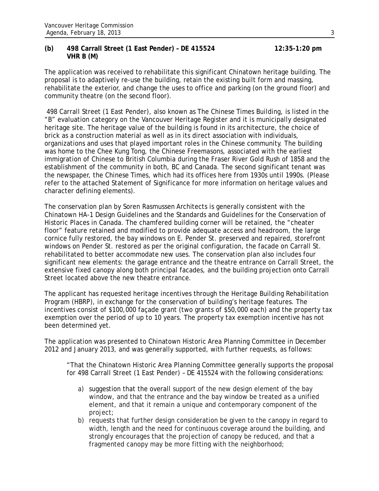### **(b) 498 Carrall Street (1 East Pender) – DE 415524 12:35-1:20 pm VHR B (M)**

The application was received to rehabilitate this significant Chinatown heritage building. The proposal is to adaptively re-use the building, retain the existing built form and massing, rehabilitate the exterior, and change the uses to office and parking (on the ground floor) and community theatre (on the second floor).

498 Carrall Street (1 East Pender), also known as The Chinese Times Building, is listed in the "B" evaluation category on the Vancouver Heritage Register and it is municipally designated heritage site. The heritage value of the building is found in its architecture, the choice of brick as a construction material as well as in its direct association with individuals, organizations and uses that played important roles in the Chinese community. The building was home to the Chee Kung Tong, the Chinese Freemasons, associated with the earliest immigration of Chinese to British Columbia during the Fraser River Gold Rush of 1858 and the establishment of the community in both, BC and Canada. The second significant tenant was the newspaper, the Chinese Times, which had its offices here from 1930s until 1990s. (Please refer to the attached Statement of Significance for more information on heritage values and character defining elements).

The conservation plan by Soren Rasmussen Architects is generally consistent with the Chinatown HA-1 Design Guidelines and the Standards and Guidelines for the Conservation of Historic Places in Canada. The chamfered building corner will be retained, the "cheater floor" feature retained and modified to provide adequate access and headroom, the large cornice fully restored, the bay windows on E. Pender St. preserved and repaired, storefront windows on Pender St. restored as per the original configuration, the facade on Carrall St. rehabilitated to better accommodate new uses. The conservation plan also includes four significant new elements: the garage entrance and the theatre entrance on Carrall Street, the extensive fixed canopy along both principal facades, and the building projection onto Carrall Street located above the new theatre entrance.

The applicant has requested heritage incentives through the Heritage Building Rehabilitation Program (HBRP), in exchange for the conservation of building's heritage features. The incentives consist of \$100,000 façade grant (two grants of \$50,000 each) and the property tax exemption over the period of up to 10 years. The property tax exemption incentive has not been determined yet.

The application was presented to Chinatown Historic Area Planning Committee in December 2012 and January 2013, and was generally supported, with further requests, as follows:

"That the Chinatown Historic Area Planning Committee generally supports the proposal for 498 Carrall Street (1 East Pender) – DE 415524 with the following considerations:

- a) suggestion that the overall support of the new design element of the bay window, and that the entrance and the bay window be treated as a unified element, and that it remain a unique and contemporary component of the project;
- b) requests that further design consideration be given to the canopy in regard to width, length and the need for continuous coverage around the building, and strongly encourages that the projection of canopy be reduced, and that a fragmented canopy may be more fitting with the neighborhood;